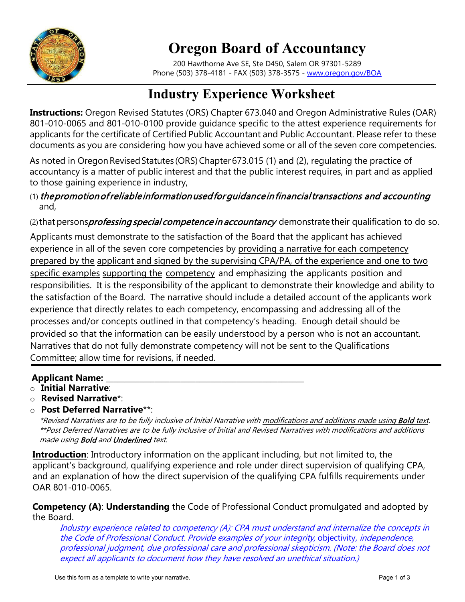

## **Oregon Board of Accountancy**

200 Hawthorne Ave SE, Ste D450, Salem OR 97301-5289 Phone (503) 378-4181 - FAX (503) 378-3575 - [www.oregon.gov/BOA](http://www.oregon.gov/BOA)

## **Industry Experience Worksheet**

**Instructions:** Oregon Revised Statutes (ORS) Chapter 673.040 and Oregon Administrative Rules (OAR) 801-010-0065 and 801-010-0100 provide guidance specific to the attest experience requirements for applicants for the certificate of Certified Public Accountant and Public Accountant. Please refer to these documents as you are considering how you have achieved some or all of the seven core competencies.

As noted in Oregon Revised Statutes (ORS) Chapter 673.015 (1) and (2), regulating the practice of accountancy is a matter of public interest and that the public interest requires, in part and as applied to those gaining experience in industry,

(1) the promotion of reliable information used for guidance in financial transactions and accounting and,

(2) that persons*professing special competence in accountancy* demonstrate their qualification to do so.

Applicants must demonstrate to the satisfaction of the Board that the applicant has achieved experience in all of the seven core competencies by providing a narrative for each competency prepared by the applicant and signed by the supervising CPA/PA, of the experience and one to two specific examples supporting the competency and emphasizing the applicants position and responsibilities. It is the responsibility of the applicant to demonstrate their knowledge and ability to the satisfaction of the Board. The narrative should include a detailed account of the applicants work experience that directly relates to each competency, encompassing and addressing all of the processes and/or concepts outlined in that competency's heading. Enough detail should be provided so that the information can be easily understood by a person who is not an accountant. Narratives that do not fully demonstrate competency will not be sent to the Qualifications Committee; allow time for revisions, if needed.

## **Applicant Name:**

- o **Initial Narrative**:
- o **Revised Narrative**\*:
- o **Post Deferred Narrative**\*\*:

\*Revised Narratives are to be fully inclusive of Initial Narrative with modifications and additions made using Bold text. \*\*Post Deferred Narratives are to be fully inclusive of Initial and Revised Narratives with modifications and additions made using **Bold** and **Underlined** text.

**Introduction**: Introductory information on the applicant including, but not limited to, the applicant's background, qualifying experience and role under direct supervision of qualifying CPA, and an explanation of how the direct supervision of the qualifying CPA fulfills requirements under OAR 801-010-0065.

**Competency (A)**: **Understanding** the Code of Professional Conduct promulgated and adopted by the Board.

Industry experience related to competency (A): CPA must understand and internalize the concepts in the Code of Professional Conduct. Provide examples of your integrity, objectivity, independence, professional judgment, due professional care and professional skepticism. (Note: the Board does not expect all applicants to document how they have resolved an unethical situation.)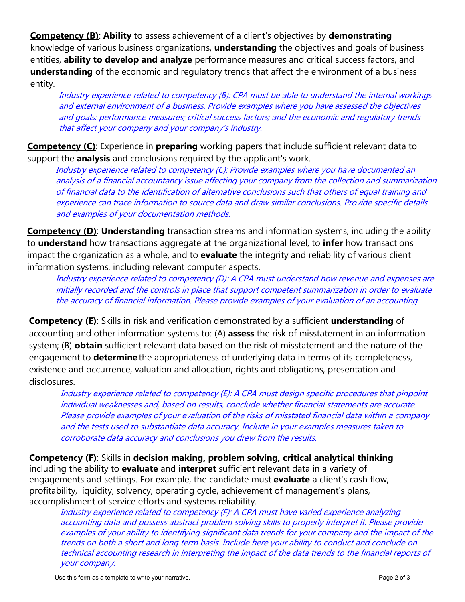**Competency (B)**: **Ability** to assess achievement of a client's objectives by **demonstrating**  knowledge of various business organizations, **understanding** the objectives and goals of business entities, **ability to develop and analyze** performance measures and critical success factors, and **understanding** of the economic and regulatory trends that affect the environment of a business entity.

Industry experience related to competency (B): CPA must be able to understand the internal workings and external environment of a business. Provide examples where you have assessed the objectives and goals; performance measures; critical success factors; and the economic and regulatory trends that affect your company and your company's industry.

**Competency (C)**: Experience in **preparing** working papers that include sufficient relevant data to support the **analysis** and conclusions required by the applicant's work.

Industry experience related to competency (C): Provide examples where you have documented an analysis of a financial accountancy issue affecting your company from the collection and summarization of financial data to the identification of alternative conclusions such that others of equal training and experience can trace information to source data and draw similar conclusions. Provide specific details and examples of your documentation methods.

**Competency (D): Understanding** transaction streams and information systems, including the ability to **understand** how transactions aggregate at the organizational level, to **infer** how transactions impact the organization as a whole, and to **evaluate** the integrity and reliability of various client information systems, including relevant computer aspects.

Industry experience related to competency (D): A CPA must understand how revenue and expenses are initially recorded and the controls in place that support competent summarization in order to evaluate the accuracy of financial information. Please provide examples of your evaluation of an accounting

**Competency (E)**: Skills in risk and verification demonstrated by a sufficient **understanding** of accounting and other information systems to: (A) **assess** the risk of misstatement in an information system; (B) **obtain** sufficient relevant data based on the risk of misstatement and the nature of the engagement to **determine** the appropriateness of underlying data in terms of its completeness, existence and occurrence, valuation and allocation, rights and obligations, presentation and disclosures.

Industry experience related to competency (E): A CPA must design specific procedures that pinpoint individual weaknesses and, based on results, conclude whether financial statements are accurate. Please provide examples of your evaluation of the risks of misstated financial data within a company and the tests used to substantiate data accuracy. Include in your examples measures taken to corroborate data accuracy and conclusions you drew from the results.

**Competency (F)**: Skills in **decision making, problem solving, critical analytical thinking**  including the ability to **evaluate** and **interpret** sufficient relevant data in a variety of engagements and settings. For example, the candidate must **evaluate** a client's cash flow, profitability, liquidity, solvency, operating cycle, achievement of management's plans, accomplishment of service efforts and systems reliability.

Industry experience related to competency (F): A CPA must have varied experience analyzing accounting data and possess abstract problem solving skills to properly interpret it. Please provide examples of your ability to identifying significant data trends for your company and the impact of the trends on both a short and long term basis. Include here your ability to conduct and conclude on technical accounting research in interpreting the impact of the data trends to the financial reports of your company.